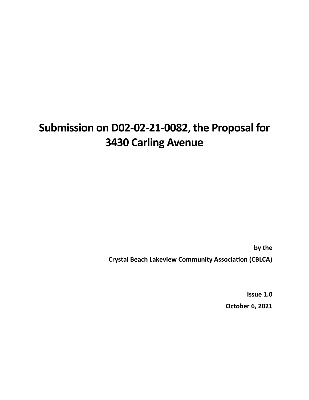# **Submission on D02-02-21-0082, the Proposal for 3430 Carling Avenue**

**by the** 

**Crystal Beach Lakeview Community Association (CBLCA)**

**Issue 1.0 October 6, 2021**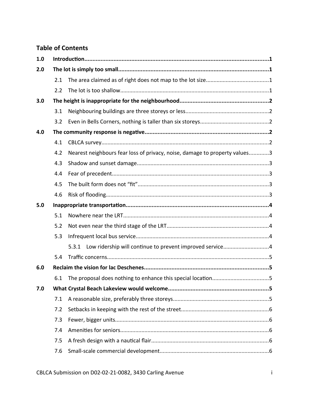#### **Table of Contents**

| 1.0 |     |                                                                            |  |  |
|-----|-----|----------------------------------------------------------------------------|--|--|
| 2.0 |     |                                                                            |  |  |
|     | 2.1 |                                                                            |  |  |
|     | 2.2 |                                                                            |  |  |
| 3.0 |     |                                                                            |  |  |
|     | 3.1 |                                                                            |  |  |
|     | 3.2 |                                                                            |  |  |
| 4.0 |     |                                                                            |  |  |
|     | 4.1 |                                                                            |  |  |
|     | 4.2 | Nearest neighbours fear loss of privacy, noise, damage to property values3 |  |  |
|     | 4.3 |                                                                            |  |  |
|     | 4.4 |                                                                            |  |  |
|     | 4.5 |                                                                            |  |  |
|     | 4.6 |                                                                            |  |  |
| 5.0 |     |                                                                            |  |  |
|     | 5.1 |                                                                            |  |  |
|     | 5.2 |                                                                            |  |  |
|     | 5.3 |                                                                            |  |  |
|     |     | 5.3.1 Low ridership will continue to prevent improved service4             |  |  |
|     | 5.4 |                                                                            |  |  |
| 6.0 |     |                                                                            |  |  |
|     | 6.1 |                                                                            |  |  |
| 7.0 |     |                                                                            |  |  |
|     | 7.1 |                                                                            |  |  |
|     | 7.2 |                                                                            |  |  |
|     | 7.3 |                                                                            |  |  |
|     | 7.4 |                                                                            |  |  |
|     | 7.5 |                                                                            |  |  |
|     | 7.6 |                                                                            |  |  |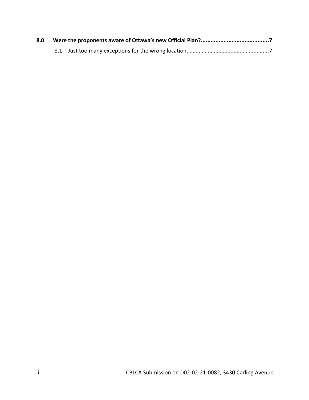| 8.0 |  |  |
|-----|--|--|
|     |  |  |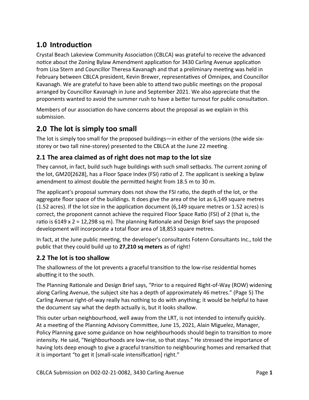# <span id="page-3-3"></span>**1.0 Introduction**

Crystal Beach Lakeview Community Association (CBLCA) was grateful to receive the advanced notice about the Zoning Bylaw Amendment application for 3430 Carling Avenue application from Lisa Stern and Councillor Theresa Kavanagh and that a preliminary meeting was held in February between CBLCA president, Kevin Brewer, representatives of Omnipex, and Councillor Kavanagh. We are grateful to have been able to attend two public meetings on the proposal arranged by Councillor Kavanagh in June and September 2021. We also appreciate that the proponents wanted to avoid the summer rush to have a better turnout for public consultation.

Members of our association do have concerns about the proposal as we explain in this submission.

## <span id="page-3-2"></span>**2.0 The lot is simply too small**

The lot is simply too small for the proposed buildings—in either of the versions (the wide sixstorey or two tall nine-storey) presented to the CBLCA at the June 22 meeting.

#### <span id="page-3-1"></span>**2.1 The area claimed as of right does not map to the lot size**

They cannot, in fact, build such huge buildings with such small setbacks. The current zoning of the lot, GM20[2628], has a Floor Space Index (FSI) ratio of 2. The applicant is seeking a bylaw amendment to almost double the permitted height from 18.5 m to 30 m.

The applicant's proposal summary does not show the FSI ratio, the depth of the lot, or the aggregate floor space of the buildings. It does give the area of the lot as 6,149 square metres (1.52 acres). If the lot size in the application document (6,149 square metres or 1.52 acres) is correct, the proponent cannot achieve the required Floor Space Ratio (FSI) of 2 (that is, the ratio is 6149 x 2 = 12,298 sq m). The planning Rationale and Design Brief says the proposed development will incorporate a total floor area of 18,853 square metres.

In fact, at the June public meeting, the developer's consultants Fotenn Consultants Inc., told the public that they could build up to **27,210 sq meters** as of right!

#### <span id="page-3-0"></span>**2.2 The lot is too shallow**

The shallowness of the lot prevents a graceful transition to the low-rise residential homes abutting it to the south.

The Planning Rationale and Design Brief says, "Prior to a required Right-of-Way (ROW) widening along Carling Avenue, the subject site has a depth of approximately 46 metres." (Page 5) The Carling Avenue right-of-way really has nothing to do with anything; it would be helpful to have the document say what the depth actually is, but it looks shallow.

This outer urban neighbourhood, well away from the LRT, is not intended to intensify quickly. At a meeting of the Planning Advisory Committee, June 15, 2021, Alain Miguelez, Manager, Policy Planning gave some guidance on how neighbourhoods should begin to transition to more intensity. He said, "Neighbourhoods are low-rise, so that stays." He stressed the importance of having lots deep enough to give a graceful transition to neighbouring homes and remarked that it is important "to get it [small-scale intensification] right."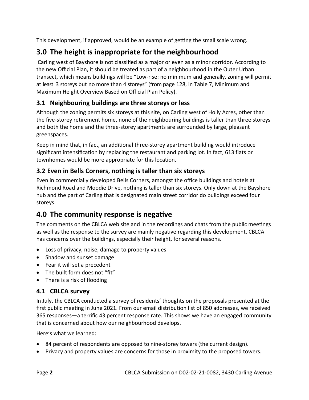This development, if approved, would be an example of getting the small scale wrong.

# <span id="page-4-4"></span>**3.0 The height is inappropriate for the neighbourhood**

 Carling west of Bayshore is not classified as a major or even as a minor corridor. According to the new Official Plan, it should be treated as part of a neighbourhood in the Outer Urban transect, which means buildings will be "Low-rise: no minimum and generally, zoning will permit at least 3 storeys but no more than 4 storeys" (from page 128, in Table 7, Minimum and Maximum Height Overview Based on Official Plan Policy).

### <span id="page-4-3"></span>**3.1 Neighbouring buildings are three storeys or less**

Although the zoning permits six storeys at this site, on Carling west of Holly Acres, other than the five-storey retirement home, none of the neighbouring buildings is taller than three storeys and both the home and the three-storey apartments are surrounded by large, pleasant greenspaces.

Keep in mind that, in fact, an additional three-storey apartment building would introduce significant intensification by replacing the restaurant and parking lot. In fact, 613 flats or townhomes would be more appropriate for this location.

#### <span id="page-4-2"></span>**3.2 Even in Bells Corners, nothing is taller than six storeys**

Even in commercially developed Bells Corners, amongst the office buildings and hotels at Richmond Road and Moodie Drive, nothing is taller than six storeys. Only down at the Bayshore hub and the part of Carling that is designated main street corridor do buildings exceed four storeys.

## <span id="page-4-1"></span>**4.0 The community response is negative**

The comments on the CBLCA web site and in the recordings and chats from the public meetings as well as the response to the survey are mainly negative regarding this development. CBLCA has concerns over the buildings, especially their height, for several reasons.

- Loss of privacy, noise, damage to property values
- Shadow and sunset damage
- Fear it will set a precedent
- The built form does not "fit"
- There is a risk of flooding

#### <span id="page-4-0"></span>**4.1 CBLCA survey**

In July, the CBLCA conducted a survey of residents' thoughts on the proposals presented at the first public meeting in June 2021. From our email distribution list of 850 addresses, we received 365 responses—a terrific 43 percent response rate. This shows we have an engaged community that is concerned about how our neighbourhood develops.

Here's what we learned:

- 84 percent of respondents are opposed to nine-storey towers (the current design).
- Privacy and property values are concerns for those in proximity to the proposed towers.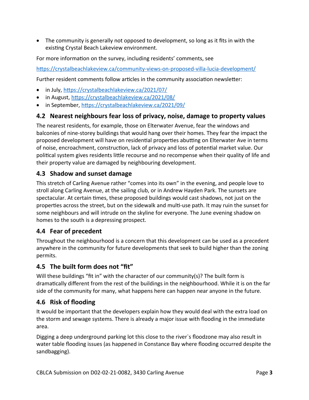The community is generally not opposed to development, so long as it fits in with the existing Crystal Beach Lakeview environment.

For more information on the survey, including residents' comments, see

<https://crystalbeachlakeview.ca/community-views-on-proposed-villa-lucia-development/>

Further resident comments follow articles in the community association newsletter:

- in July, <https://crystalbeachlakeview.ca/2021/07/>
- in August,<https://crystalbeachlakeview.ca/2021/08/>
- in September,<https://crystalbeachlakeview.ca/2021/09/>

#### <span id="page-5-4"></span>**4.2 Nearest neighbours fear loss of privacy, noise, damage to property values**

The nearest residents, for example, those on Elterwater Avenue, fear the windows and balconies of nine-storey buildings that would hang over their homes. They fear the impact the proposed development will have on residential properties abutting on Elterwater Ave in terms of noise, encroachment, construction, lack of privacy and loss of potential market value. Our political system gives residents little recourse and no recompense when their quality of life and their property value are damaged by neighbouring development.

#### <span id="page-5-3"></span>**4.3 Shadow and sunset damage**

This stretch of Carling Avenue rather "comes into its own" in the evening, and people love to stroll along Carling Avenue, at the sailing club, or in Andrew Hayden Park. The sunsets are spectacular. At certain times, these proposed buildings would cast shadows, not just on the properties across the street, but on the sidewalk and multi-use path. It may ruin the sunset for some neighbours and will intrude on the skyline for everyone. The June evening shadow on homes to the south is a depressing prospect.

#### <span id="page-5-2"></span>**4.4 Fear of precedent**

Throughout the neighbourhood is a concern that this development can be used as a precedent anywhere in the community for future developments that seek to build higher than the zoning permits.

#### <span id="page-5-1"></span>**4.5 The built form does not "fit"**

Will these buildings "fit in" with the character of our community(s)? The built form is dramatically different from the rest of the buildings in the neighbourhood. While it is on the far side of the community for many, what happens here can happen near anyone in the future.

#### <span id="page-5-0"></span>**4.6 Risk of flooding**

It would be important that the developers explain how they would deal with the extra load on the storm and sewage systems. There is already a major issue with flooding in the immediate area.

Digging a deep underground parking lot this close to the river`s floodzone may also result in water table flooding issues (as happened in Constance Bay where flooding occurred despite the sandbagging).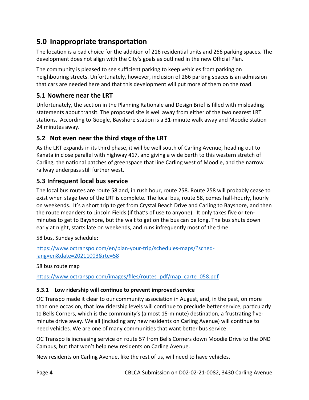## <span id="page-6-4"></span>**5.0 Inappropriate transportation**

The location is a bad choice for the addition of 216 residential units and 266 parking spaces. The development does not align with the City's goals as outlined in the new Official Plan.

The community is pleased to see sufficient parking to keep vehicles from parking on neighbouring streets. Unfortunately, however, inclusion of 266 parking spaces is an admission that cars are needed here and that this development will put more of them on the road.

#### <span id="page-6-3"></span>**5.1 Nowhere near the LRT**

Unfortunately, the section in the Planning Rationale and Design Brief is filled with misleading statements about transit. The proposed site is well away from either of the two nearest LRT stations. According to Google, Bayshore station is a 31-minute walk away and Moodie station 24 minutes away.

#### <span id="page-6-2"></span>**5.2 Not even near the third stage of the LRT**

As the LRT expands in its third phase, it will be well south of Carling Avenue, heading out to Kanata in close parallel with highway 417, and giving a wide berth to this western stretch of Carling, the national patches of greenspace that line Carling west of Moodie, and the narrow railway underpass still further west.

#### <span id="page-6-1"></span>**5.3 Infrequent local bus service**

The local bus routes are route 58 and, in rush hour, route 258. Route 258 will probably cease to exist when stage two of the LRT is complete. The local bus, route 58, comes half-hourly, hourly on weekends. It's a short trip to get from Crystal Beach Drive and Carling to Bayshore, and then the route meanders to Lincoln Fields (if that's of use to anyone). It only takes five or tenminutes to get to Bayshore, but the wait to get on the bus can be long. The bus shuts down early at night, starts late on weekends, and runs infrequently most of the time.

58 bus, Sunday schedule:

[https://www.octranspo.com/en/plan-your-trip/schedules-maps/?sched](https://www.octranspo.com/en/plan-your-trip/schedules-maps/?sched-lang=en&date=20211003&rte=58)[lang=en&date=20211003&rte=58](https://www.octranspo.com/en/plan-your-trip/schedules-maps/?sched-lang=en&date=20211003&rte=58)

58 bus route map

[https://www.octranspo.com/images/files/routes\\_pdf/map\\_carte\\_058.pdf](https://www.octranspo.com/images/files/routes_pdf/map_carte_058.pdf)

#### <span id="page-6-0"></span>**5.3.1 Low ridership will continue to prevent improved service**

OC Transpo made it clear to our community association in August, and, in the past, on more than one occasion, that low ridership levels will continue to preclude better service, particularly to Bells Corners, which is the community's (almost 15-minute) destination, a frustrating fiveminute drive away. We all (including any new residents on Carling Avenue) will continue to need vehicles. We are one of many communities that want better bus service.

OC Transpo **is** increasing service on route 57 from Bells Corners down Moodie Drive to the DND Campus, but that won't help new residents on Carling Avenue.

New residents on Carling Avenue, like the rest of us, will need to have vehicles.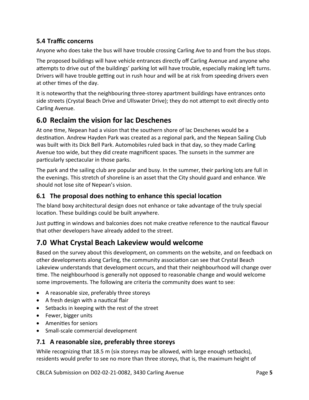#### <span id="page-7-4"></span>**5.4 Traffic concerns**

Anyone who does take the bus will have trouble crossing Carling Ave to and from the bus stops.

The proposed buildings will have vehicle entrances directly off Carling Avenue and anyone who attempts to drive out of the buildings' parking lot will have trouble, especially making left turns. Drivers will have trouble getting out in rush hour and will be at risk from speeding drivers even at other times of the day.

It is noteworthy that the neighbouring three-storey apartment buildings have entrances onto side streets (Crystal Beach Drive and Ullswater Drive); they do not attempt to exit directly onto Carling Avenue.

## <span id="page-7-3"></span>**6.0 Reclaim the vision for lac Deschenes**

At one time, Nepean had a vision that the southern shore of lac Deschenes would be a destination. Andrew Hayden Park was created as a regional park, and the Nepean Sailing Club was built with its Dick Bell Park. Automobiles ruled back in that day, so they made Carling Avenue too wide, but they did create magnificent spaces. The sunsets in the summer are particularly spectacular in those parks.

The park and the sailing club are popular and busy. In the summer, their parking lots are full in the evenings. This stretch of shoreline is an asset that the City should guard and enhance. We should not lose site of Nepean's vision.

#### <span id="page-7-2"></span>**6.1 The proposal does nothing to enhance this special location**

The bland boxy architectural design does not enhance or take advantage of the truly special location. These buildings could be built anywhere.

Just putting in windows and balconies does not make creative reference to the nautical flavour that other developers have already added to the street.

## <span id="page-7-1"></span>**7.0 What Crystal Beach Lakeview would welcome**

Based on the survey about this development, on comments on the website, and on feedback on other developments along Carling, the community association can see that Crystal Beach Lakeview understands that development occurs, and that their neighbourhood will change over time. The neighbourhood is generally not opposed to reasonable change and would welcome some improvements. The following are criteria the community does want to see:

- A reasonable size, preferably three storeys
- A fresh design with a nautical flair
- Setbacks in keeping with the rest of the street
- Fewer, bigger units
- Amenities for seniors
- Small-scale commercial development

#### <span id="page-7-0"></span>**7.1 A reasonable size, preferably three storeys**

While recognizing that 18.5 m (six storeys may be allowed, with large enough setbacks), residents would prefer to see no more than three storeys, that is, the maximum height of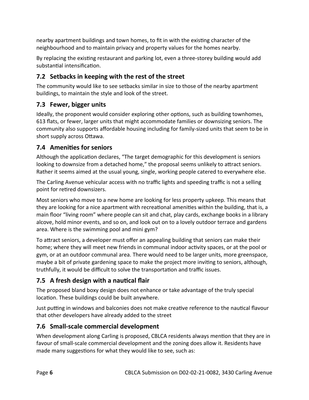nearby apartment buildings and town homes, to fit in with the existing character of the neighbourhood and to maintain privacy and property values for the homes nearby.

By replacing the existing restaurant and parking lot, even a three-storey building would add substantial intensification.

#### <span id="page-8-0"></span>**7.2 Setbacks in keeping with the rest of the street**

The community would like to see setbacks similar in size to those of the nearby apartment buildings, to maintain the style and look of the street.

#### <span id="page-8-4"></span>**7.3 Fewer, bigger units**

Ideally, the proponent would consider exploring other options, such as building townhomes, 613 flats, or fewer, larger units that might accommodate families or downsizing seniors. The community also supports affordable housing including for family-sized units that seem to be in short supply across Ottawa.

#### <span id="page-8-3"></span>**7.4 Amenities for seniors**

Although the application declares, "The target demographic for this development is seniors looking to downsize from a detached home," the proposal seems unlikely to attract seniors. Rather it seems aimed at the usual young, single, working people catered to everywhere else.

The Carling Avenue vehicular access with no traffic lights and speeding traffic is not a selling point for retired downsizers.

Most seniors who move to a new home are looking for less property upkeep. This means that they are looking for a nice apartment with recreational amenities within the building, that is, a main floor "living room" where people can sit and chat, play cards, exchange books in a library alcove, hold minor events, and so on, and look out on to a lovely outdoor terrace and gardens area. Where is the swimming pool and mini gym?

To attract seniors, a developer must offer an appealing building that seniors can make their home; where they will meet new friends in communal indoor activity spaces, or at the pool or gym, or at an outdoor communal area. There would need to be larger units, more greenspace, maybe a bit of private gardening space to make the project more inviting to seniors, although, truthfully, it would be difficult to solve the transportation and traffic issues.

#### <span id="page-8-2"></span>**7.5 A fresh design with a nautical flair**

The proposed bland boxy design does not enhance or take advantage of the truly special location. These buildings could be built anywhere.

Just putting in windows and balconies does not make creative reference to the nautical flavour that other developers have already added to the street

#### <span id="page-8-1"></span>**7.6 Small-scale commercial development**

When development along Carling is proposed, CBLCA residents always mention that they are in favour of small-scale commercial development and the zoning does allow it. Residents have made many suggestions for what they would like to see, such as: